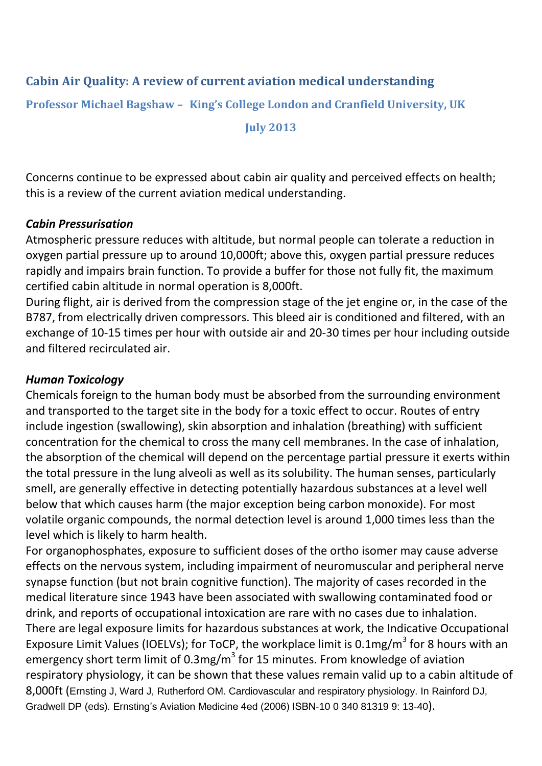## **Cabin Air Quality: A review of current aviation medical understanding**

**Professor Michael Bagshaw – King's College London and Cranfield University, UK**

**July 2013**

Concerns continue to be expressed about cabin air quality and perceived effects on health; this is a review of the current aviation medical understanding.

#### *Cabin Pressurisation*

Atmospheric pressure reduces with altitude, but normal people can tolerate a reduction in oxygen partial pressure up to around 10,000ft; above this, oxygen partial pressure reduces rapidly and impairs brain function. To provide a buffer for those not fully fit, the maximum certified cabin altitude in normal operation is 8,000ft.

During flight, air is derived from the compression stage of the jet engine or, in the case of the B787, from electrically driven compressors. This bleed air is conditioned and filtered, with an exchange of 10-15 times per hour with outside air and 20-30 times per hour including outside and filtered recirculated air.

#### *Human Toxicology*

Chemicals foreign to the human body must be absorbed from the surrounding environment and transported to the target site in the body for a toxic effect to occur. Routes of entry include ingestion (swallowing), skin absorption and inhalation (breathing) with sufficient concentration for the chemical to cross the many cell membranes. In the case of inhalation, the absorption of the chemical will depend on the percentage partial pressure it exerts within the total pressure in the lung alveoli as well as its solubility. The human senses, particularly smell, are generally effective in detecting potentially hazardous substances at a level well below that which causes harm (the major exception being carbon monoxide). For most volatile organic compounds, the normal detection level is around 1,000 times less than the level which is likely to harm health.

For organophosphates, exposure to sufficient doses of the ortho isomer may cause adverse effects on the nervous system, including impairment of neuromuscular and peripheral nerve synapse function (but not brain cognitive function). The majority of cases recorded in the medical literature since 1943 have been associated with swallowing contaminated food or drink, and reports of occupational intoxication are rare with no cases due to inhalation. There are legal exposure limits for hazardous substances at work, the Indicative Occupational Exposure Limit Values (IOELVs); for ToCP, the workplace limit is 0.1mg/m<sup>3</sup> for 8 hours with an emergency short term limit of 0.3mg/m<sup>3</sup> for 15 minutes. From knowledge of aviation respiratory physiology, it can be shown that these values remain valid up to a cabin altitude of 8,000ft (Ernsting J, Ward J, Rutherford OM. Cardiovascular and respiratory physiology. In Rainford DJ, Gradwell DP (eds). Ernsting's Aviation Medicine 4ed (2006) ISBN-10 0 340 81319 9: 13-40).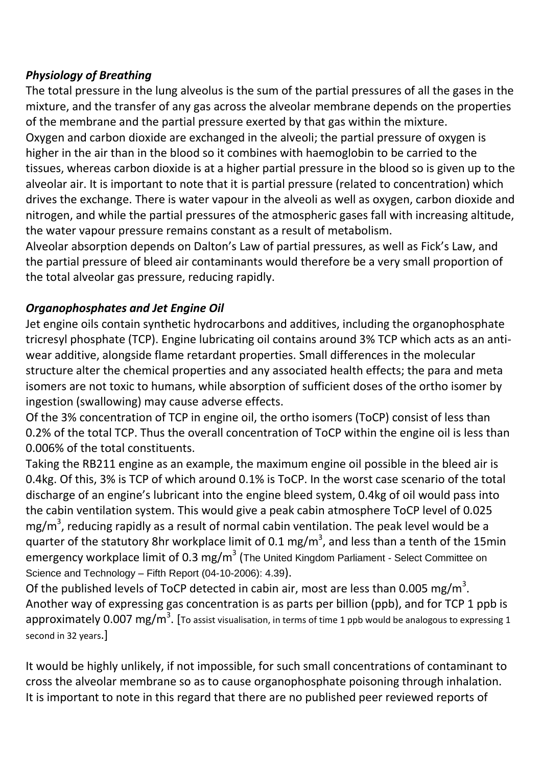#### *Physiology of Breathing*

The total pressure in the lung alveolus is the sum of the partial pressures of all the gases in the mixture, and the transfer of any gas across the alveolar membrane depends on the properties of the membrane and the partial pressure exerted by that gas within the mixture.

Oxygen and carbon dioxide are exchanged in the alveoli; the partial pressure of oxygen is higher in the air than in the blood so it combines with haemoglobin to be carried to the tissues, whereas carbon dioxide is at a higher partial pressure in the blood so is given up to the alveolar air. It is important to note that it is partial pressure (related to concentration) which drives the exchange. There is water vapour in the alveoli as well as oxygen, carbon dioxide and nitrogen, and while the partial pressures of the atmospheric gases fall with increasing altitude, the water vapour pressure remains constant as a result of metabolism.

Alveolar absorption depends on Dalton's Law of partial pressures, as well as Fick's Law, and the partial pressure of bleed air contaminants would therefore be a very small proportion of the total alveolar gas pressure, reducing rapidly.

## *Organophosphates and Jet Engine Oil*

Jet engine oils contain synthetic hydrocarbons and additives, including the organophosphate tricresyl phosphate (TCP). Engine lubricating oil contains around 3% TCP which acts as an antiwear additive, alongside flame retardant properties. Small differences in the molecular structure alter the chemical properties and any associated health effects; the para and meta isomers are not toxic to humans, while absorption of sufficient doses of the ortho isomer by ingestion (swallowing) may cause adverse effects.

Of the 3% concentration of TCP in engine oil, the ortho isomers (ToCP) consist of less than 0.2% of the total TCP. Thus the overall concentration of ToCP within the engine oil is less than 0.006% of the total constituents.

Taking the RB211 engine as an example, the maximum engine oil possible in the bleed air is 0.4kg. Of this, 3% is TCP of which around 0.1% is ToCP. In the worst case scenario of the total discharge of an engine's lubricant into the engine bleed system, 0.4kg of oil would pass into the cabin ventilation system. This would give a peak cabin atmosphere ToCP level of 0.025 mg/m<sup>3</sup>, reducing rapidly as a result of normal cabin ventilation. The peak level would be a quarter of the statutory 8hr workplace limit of 0.1 mg/m<sup>3</sup>, and less than a tenth of the 15min emergency workplace limit of 0.3 mg/m $^3$  (The United Kingdom Parliament - Select Committee on Science and Technology – Fifth Report (04-10-2006): 4.39).

Of the published levels of ToCP detected in cabin air, most are less than 0.005 mg/m<sup>3</sup>. Another way of expressing gas concentration is as parts per billion (ppb), and for TCP 1 ppb is <code>approximately 0.007</code> mg/m $^3$ . [To assist visualisation, in terms of time 1 ppb would be analogous to expressing 1 second in 32 years.]

It would be highly unlikely, if not impossible, for such small concentrations of contaminant to cross the alveolar membrane so as to cause organophosphate poisoning through inhalation. It is important to note in this regard that there are no published peer reviewed reports of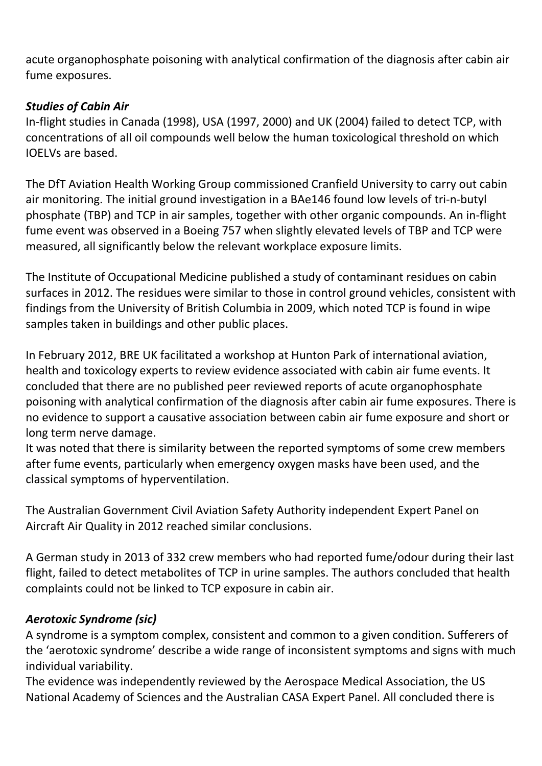acute organophosphate poisoning with analytical confirmation of the diagnosis after cabin air fume exposures.

### *Studies of Cabin Air*

In-flight studies in Canada (1998), USA (1997, 2000) and UK (2004) failed to detect TCP, with concentrations of all oil compounds well below the human toxicological threshold on which IOELVs are based.

The DfT Aviation Health Working Group commissioned Cranfield University to carry out cabin air monitoring. The initial ground investigation in a BAe146 found low levels of tri-n-butyl phosphate (TBP) and TCP in air samples, together with other organic compounds. An in-flight fume event was observed in a Boeing 757 when slightly elevated levels of TBP and TCP were measured, all significantly below the relevant workplace exposure limits.

The Institute of Occupational Medicine published a study of contaminant residues on cabin surfaces in 2012. The residues were similar to those in control ground vehicles, consistent with findings from the University of British Columbia in 2009, which noted TCP is found in wipe samples taken in buildings and other public places.

In February 2012, BRE UK facilitated a workshop at Hunton Park of international aviation, health and toxicology experts to review evidence associated with cabin air fume events. It concluded that there are no published peer reviewed reports of acute organophosphate poisoning with analytical confirmation of the diagnosis after cabin air fume exposures. There is no evidence to support a causative association between cabin air fume exposure and short or long term nerve damage.

It was noted that there is similarity between the reported symptoms of some crew members after fume events, particularly when emergency oxygen masks have been used, and the classical symptoms of hyperventilation.

The Australian Government Civil Aviation Safety Authority independent Expert Panel on Aircraft Air Quality in 2012 reached similar conclusions.

A German study in 2013 of 332 crew members who had reported fume/odour during their last flight, failed to detect metabolites of TCP in urine samples. The authors concluded that health complaints could not be linked to TCP exposure in cabin air.

## *Aerotoxic Syndrome (sic)*

A syndrome is a symptom complex, consistent and common to a given condition. Sufferers of the 'aerotoxic syndrome' describe a wide range of inconsistent symptoms and signs with much individual variability.

The evidence was independently reviewed by the Aerospace Medical Association, the US National Academy of Sciences and the Australian CASA Expert Panel. All concluded there is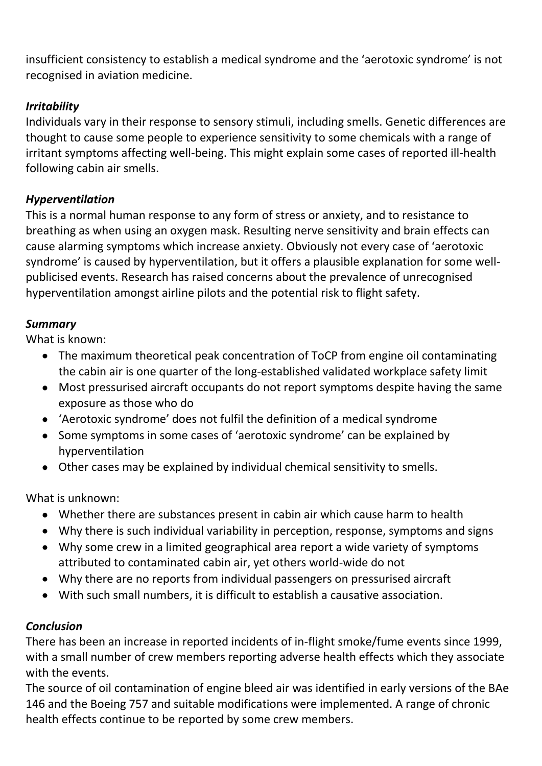insufficient consistency to establish a medical syndrome and the 'aerotoxic syndrome' is not recognised in aviation medicine.

## *Irritability*

Individuals vary in their response to sensory stimuli, including smells. Genetic differences are thought to cause some people to experience sensitivity to some chemicals with a range of irritant symptoms affecting well-being. This might explain some cases of reported ill-health following cabin air smells.

# *Hyperventilation*

This is a normal human response to any form of stress or anxiety, and to resistance to breathing as when using an oxygen mask. Resulting nerve sensitivity and brain effects can cause alarming symptoms which increase anxiety. Obviously not every case of 'aerotoxic syndrome' is caused by hyperventilation, but it offers a plausible explanation for some wellpublicised events. Research has raised concerns about the prevalence of unrecognised hyperventilation amongst airline pilots and the potential risk to flight safety.

## *Summary*

What is known:

- The maximum theoretical peak concentration of ToCP from engine oil contaminating the cabin air is one quarter of the long-established validated workplace safety limit
- Most pressurised aircraft occupants do not report symptoms despite having the same exposure as those who do
- 'Aerotoxic syndrome' does not fulfil the definition of a medical syndrome
- Some symptoms in some cases of 'aerotoxic syndrome' can be explained by hyperventilation
- Other cases may be explained by individual chemical sensitivity to smells.

What is unknown:

- Whether there are substances present in cabin air which cause harm to health
- Why there is such individual variability in perception, response, symptoms and signs
- Why some crew in a limited geographical area report a wide variety of symptoms attributed to contaminated cabin air, yet others world-wide do not
- Why there are no reports from individual passengers on pressurised aircraft
- With such small numbers, it is difficult to establish a causative association.

## *Conclusion*

There has been an increase in reported incidents of in-flight smoke/fume events since 1999, with a small number of crew members reporting adverse health effects which they associate with the events.

The source of oil contamination of engine bleed air was identified in early versions of the BAe 146 and the Boeing 757 and suitable modifications were implemented. A range of chronic health effects continue to be reported by some crew members.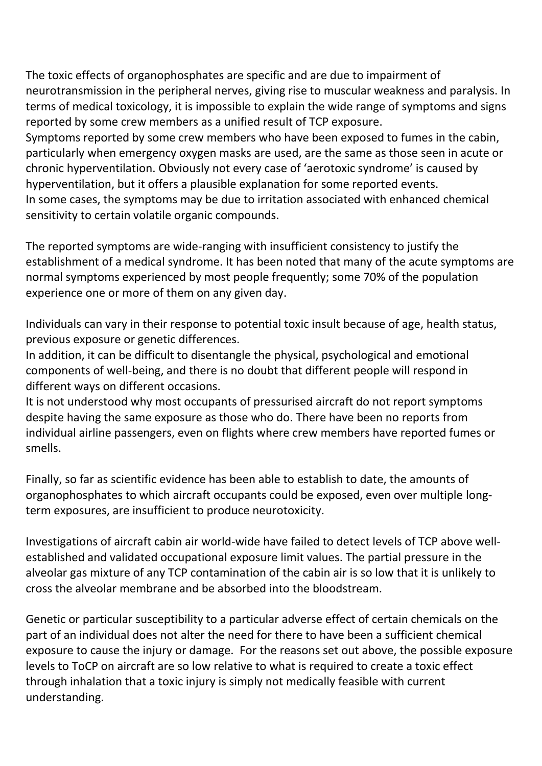The toxic effects of organophosphates are specific and are due to impairment of neurotransmission in the peripheral nerves, giving rise to muscular weakness and paralysis. In terms of medical toxicology, it is impossible to explain the wide range of symptoms and signs reported by some crew members as a unified result of TCP exposure.

Symptoms reported by some crew members who have been exposed to fumes in the cabin, particularly when emergency oxygen masks are used, are the same as those seen in acute or chronic hyperventilation. Obviously not every case of 'aerotoxic syndrome' is caused by hyperventilation, but it offers a plausible explanation for some reported events. In some cases, the symptoms may be due to irritation associated with enhanced chemical sensitivity to certain volatile organic compounds.

The reported symptoms are wide-ranging with insufficient consistency to justify the establishment of a medical syndrome. It has been noted that many of the acute symptoms are normal symptoms experienced by most people frequently; some 70% of the population experience one or more of them on any given day.

Individuals can vary in their response to potential toxic insult because of age, health status, previous exposure or genetic differences.

In addition, it can be difficult to disentangle the physical, psychological and emotional components of well-being, and there is no doubt that different people will respond in different ways on different occasions.

It is not understood why most occupants of pressurised aircraft do not report symptoms despite having the same exposure as those who do. There have been no reports from individual airline passengers, even on flights where crew members have reported fumes or smells.

Finally, so far as scientific evidence has been able to establish to date, the amounts of organophosphates to which aircraft occupants could be exposed, even over multiple longterm exposures, are insufficient to produce neurotoxicity.

Investigations of aircraft cabin air world-wide have failed to detect levels of TCP above wellestablished and validated occupational exposure limit values. The partial pressure in the alveolar gas mixture of any TCP contamination of the cabin air is so low that it is unlikely to cross the alveolar membrane and be absorbed into the bloodstream.

Genetic or particular susceptibility to a particular adverse effect of certain chemicals on the part of an individual does not alter the need for there to have been a sufficient chemical exposure to cause the injury or damage. For the reasons set out above, the possible exposure levels to ToCP on aircraft are so low relative to what is required to create a toxic effect through inhalation that a toxic injury is simply not medically feasible with current understanding.